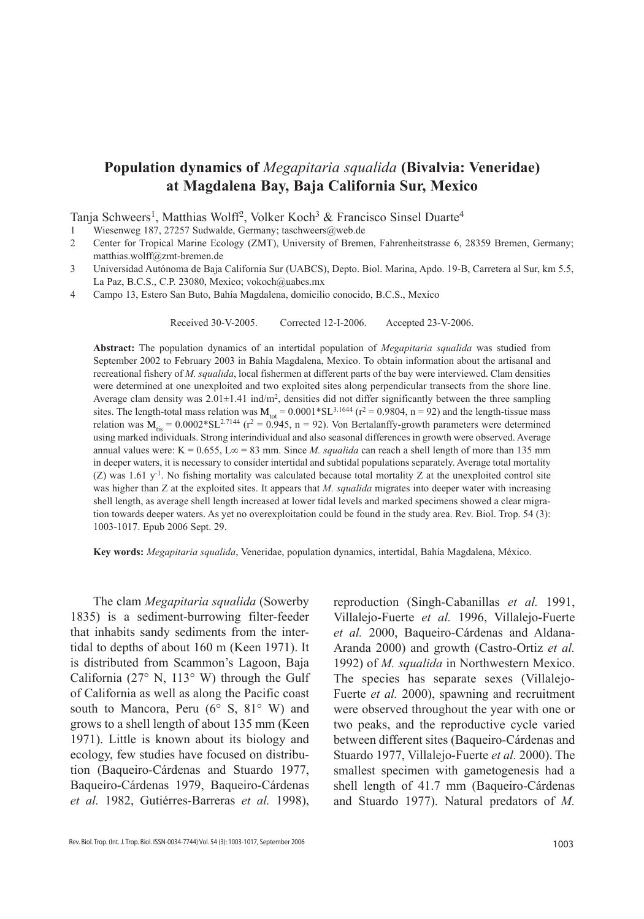# **Population dynamics of** *Megapitaria squalida* **(Bivalvia: Veneridae) at Magdalena Bay, Baja California Sur, Mexico**

Tanja Schweers<sup>1</sup>, Matthias Wolff<sup>2</sup>, Volker Koch<sup>3</sup> & Francisco Sinsel Duarte<sup>4</sup>

1 Wiesenweg 187, 27257 Sudwalde, Germany; taschweers@web.de

- 2 Center for Tropical Marine Ecology (ZMT), University of Bremen, Fahrenheitstrasse 6, 28359 Bremen, Germany; matthias.wolff@zmt-bremen.de
- 3 Universidad Autónoma de Baja California Sur (UABCS), Depto. Biol. Marina, Apdo. 19-B, Carretera al Sur, km 5.5, La Paz, B.C.S., C.P. 23080, Mexico; vokoch@uabcs.mx
- 4 Campo 13, Estero San Buto, Bahía Magdalena, domicilio conocido, B.C.S., Mexico

Received 30-v-2005. Corrected 12-i-2006. Accepted 23-v-2006.

**Abstract:** The population dynamics of an intertidal population of *Megapitaria squalida* was studied from September 2002 to February 2003 in Bahía Magdalena, Mexico. To obtain information about the artisanal and recreational fishery of *M. squalida*, local fishermen at different parts of the bay were interviewed. Clam densities were determined at one unexploited and two exploited sites along perpendicular transects from the shore line. Average clam density was  $2.01\pm1.41$  ind/m<sup>2</sup>, densities did not differ significantly between the three sampling sites. The length-total mass relation was  $M_{tot} = 0.0001 * SL^{3.1644}$  ( $r^2 = 0.9804$ , n = 92) and the length-tissue mass relation was  $M_{\text{tis}} = 0.0002 * SL^{2.7144}$  (r<sup>2</sup> = 0.945, n = 92). Von Bertalanffy-growth parameters were determined using marked individuals. Strong interindividual and also seasonal differences in growth were observed. Average annual values were: K = 0.655, L $\infty$  = 83 mm. Since *M. squalida* can reach a shell length of more than 135 mm in deeper waters, it is necessary to consider intertidal and subtidal populations separately. Average total mortality (Z) was 1.61  $y^{-1}$ . No fishing mortality was calculated because total mortality Z at the unexploited control site was higher than Z at the exploited sites. It appears that *M. squalida* migrates into deeper water with increasing shell length, as average shell length increased at lower tidal levels and marked specimens showed a clear migration towards deeper waters. As yet no overexploitation could be found in the study area. Rev. Biol. Trop. 54 (3): 1003-1017. Epub 2006 Sept. 29.

**Key words:** *Megapitaria squalida*, Veneridae, population dynamics, intertidal, Bahía Magdalena, México.

The clam *Megapitaria squalida* (Sowerby 1835) is a sediment-burrowing filter-feeder that inhabits sandy sediments from the intertidal to depths of about 160 m (Keen 1971). It is distributed from Scammon's Lagoon, Baja California (27° N, 113° W) through the Gulf of California as well as along the Pacific coast south to Mancora, Peru (6° S, 81° W) and grows to a shell length of about 135 mm (Keen 1971). Little is known about its biology and ecology, few studies have focused on distribution (Baqueiro-Cárdenas and Stuardo 1977, Baqueiro-Cárdenas 1979, Baqueiro-Cárdenas *et al.* 1982, Gutiérres-Barreras *et al.* 1998),

1003 Rev. Biol. Trop. (Int. J. Trop. Biol. ISSN-0034-7744) Vol. 54 (3): 1003-1017, September 2006

reproduction (Singh-Cabanillas *et al.* 1991, Villalejo-Fuerte *et al.* 1996, Villalejo-Fuerte *et al.* 2000, Baqueiro-Cárdenas and Aldana-Aranda 2000) and growth (Castro-Ortiz *et al.* 1992) of *M. squalida* in Northwestern Mexico. The species has separate sexes (Villalejo-Fuerte *et al.* 2000), spawning and recruitment were observed throughout the year with one or two peaks, and the reproductive cycle varied between different sites (Baqueiro-Cárdenas and Stuardo 1977, Villalejo-Fuerte *et al.* 2000). The smallest specimen with gametogenesis had a shell length of 41.7 mm (Baqueiro-Cárdenas and Stuardo 1977). Natural predators of *M.*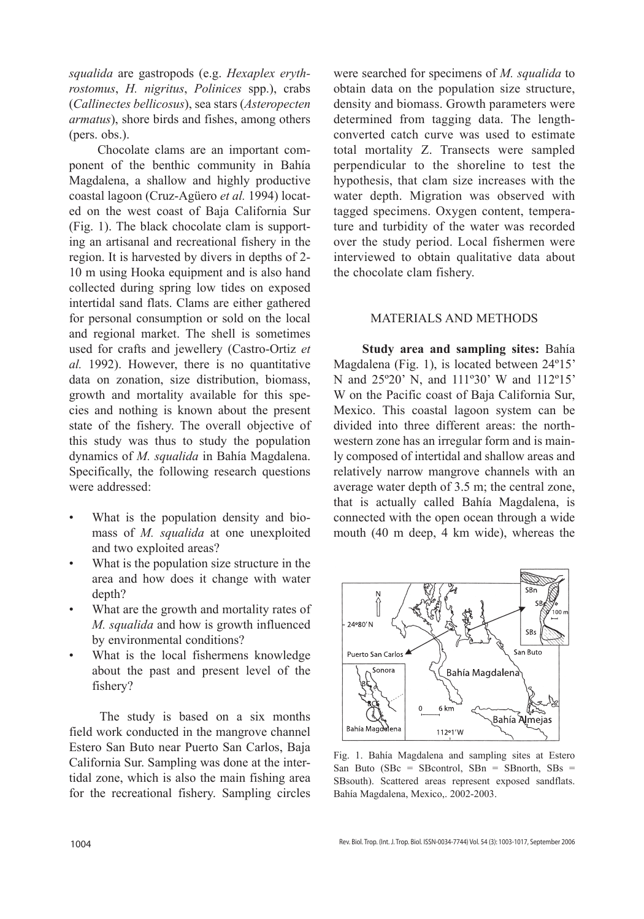*squalida* are gastropods (e.g. *Hexaplex erythrostomus*, *H. nigritus*, *Polinices* spp.), crabs (*Callinectes bellicosus*), sea stars (*Asteropecten armatus*), shore birds and fishes, among others (pers. obs.).

 Chocolate clams are an important component of the benthic community in Bahía Magdalena, a shallow and highly productive coastal lagoon (Cruz-Agüero *et al.* 1994) located on the west coast of Baja California Sur (Fig. 1). The black chocolate clam is supporting an artisanal and recreational fishery in the region. It is harvested by divers in depths of 2- 10 m using Hooka equipment and is also hand collected during spring low tides on exposed intertidal sand flats. Clams are either gathered for personal consumption or sold on the local and regional market. The shell is sometimes used for crafts and jewellery (Castro-Ortiz *et al.* 1992). However, there is no quantitative data on zonation, size distribution, biomass, growth and mortality available for this species and nothing is known about the present state of the fishery. The overall objective of this study was thus to study the population dynamics of *M. squalida* in Bahía Magdalena. Specifically, the following research questions were addressed:

- What is the population density and biomass of *M. squalida* at one unexploited and two exploited areas?
- What is the population size structure in the area and how does it change with water depth?
- What are the growth and mortality rates of *M. squalida* and how is growth influenced by environmental conditions?
- What is the local fishermens knowledge about the past and present level of the fishery?

 The study is based on a six months field work conducted in the mangrove channel Estero San Buto near Puerto San Carlos, Baja California Sur. Sampling was done at the intertidal zone, which is also the main fishing area for the recreational fishery. Sampling circles

were searched for specimens of *M. squalida* to obtain data on the population size structure, density and biomass. Growth parameters were determined from tagging data. The lengthconverted catch curve was used to estimate total mortality Z. Transects were sampled perpendicular to the shoreline to test the hypothesis, that clam size increases with the water depth. Migration was observed with tagged specimens. Oxygen content, temperature and turbidity of the water was recorded over the study period. Local fishermen were interviewed to obtain qualitative data about the chocolate clam fishery.

# MATERIALS AND METHODS

 **Study area and sampling sites:** Bahía Magdalena (Fig. 1), is located between 24º15' N and 25º20' N, and 111º30' W and 112º15' W on the Pacific coast of Baja California Sur, Mexico. This coastal lagoon system can be divided into three different areas: the northwestern zone has an irregular form and is mainly composed of intertidal and shallow areas and relatively narrow mangrove channels with an average water depth of 3.5 m; the central zone, that is actually called Bahía Magdalena, is connected with the open ocean through a wide mouth (40 m deep, 4 km wide), whereas the



Fig. 1. Bahía Magdalena and sampling sites at Estero San Buto (SBc = SBcontrol, SBn = SBnorth, SBs = SBsouth). Scattered areas represent exposed sandflats. Bahía Magdalena, Mexico,. 2002-2003.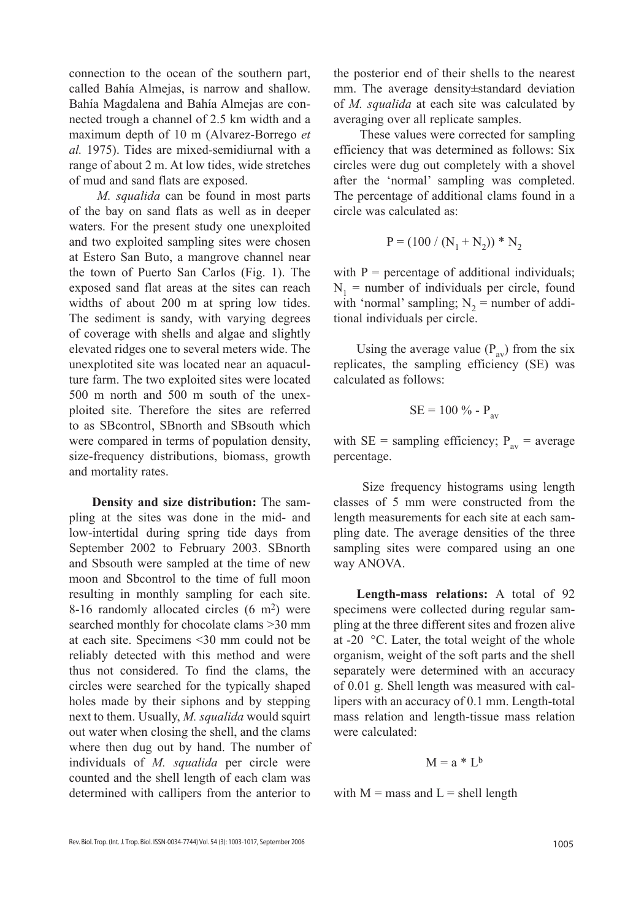connection to the ocean of the southern part, called Bahía Almejas, is narrow and shallow. Bahía Magdalena and Bahía Almejas are connected trough a channel of 2.5 km width and a maximum depth of 10 m (Alvarez-Borrego *et al.* 1975). Tides are mixed-semidiurnal with a range of about 2 m. At low tides, wide stretches of mud and sand flats are exposed.

 *M. squalida* can be found in most parts of the bay on sand flats as well as in deeper waters. For the present study one unexploited and two exploited sampling sites were chosen at Estero San Buto, a mangrove channel near the town of Puerto San Carlos (Fig. 1). The exposed sand flat areas at the sites can reach widths of about 200 m at spring low tides. The sediment is sandy, with varying degrees of coverage with shells and algae and slightly elevated ridges one to several meters wide. The unexplotited site was located near an aquaculture farm. The two exploited sites were located 500 m north and 500 m south of the unexploited site. Therefore the sites are referred to as SBcontrol, SBnorth and SBsouth which were compared in terms of population density, size-frequency distributions, biomass, growth and mortality rates.

**Density and size distribution:** The sampling at the sites was done in the mid- and low-intertidal during spring tide days from September 2002 to February 2003. SBnorth and Sbsouth were sampled at the time of new moon and Sbcontrol to the time of full moon resulting in monthly sampling for each site. 8-16 randomly allocated circles  $(6 \text{ m}^2)$  were searched monthly for chocolate clams >30 mm at each site. Specimens <30 mm could not be reliably detected with this method and were thus not considered. To find the clams, the circles were searched for the typically shaped holes made by their siphons and by stepping next to them. Usually, *M. squalida* would squirt out water when closing the shell, and the clams where then dug out by hand. The number of individuals of *M. squalida* per circle were counted and the shell length of each clam was determined with callipers from the anterior to

the posterior end of their shells to the nearest mm. The average density±standard deviation of *M. squalida* at each site was calculated by averaging over all replicate samples.

 These values were corrected for sampling efficiency that was determined as follows: Six circles were dug out completely with a shovel after the 'normal' sampling was completed. The percentage of additional clams found in a circle was calculated as:

$$
P = (100 / (N_1 + N_2)) * N_2
$$

with  $P =$  percentage of additional individuals;  $N_1$  = number of individuals per circle, found with 'normal' sampling;  $N_2$  = number of additional individuals per circle.

Using the average value  $(P_{av})$  from the six replicates, the sampling efficiency (SE) was calculated as follows:

$$
SE = 100\% - P_{av}
$$

with SE = sampling efficiency;  $P_{av}$  = average percentage.

 Size frequency histograms using length classes of 5 mm were constructed from the length measurements for each site at each sampling date. The average densities of the three sampling sites were compared using an one way ANOVA.

**Length-mass relations:** A total of 92 specimens were collected during regular sampling at the three different sites and frozen alive at -20 °C. Later, the total weight of the whole organism, weight of the soft parts and the shell separately were determined with an accuracy of 0.01 g. Shell length was measured with callipers with an accuracy of 0.1 mm. Length-total mass relation and length-tissue mass relation were calculated:

$$
M = a * L^b
$$

with  $M =$  mass and  $L =$  shell length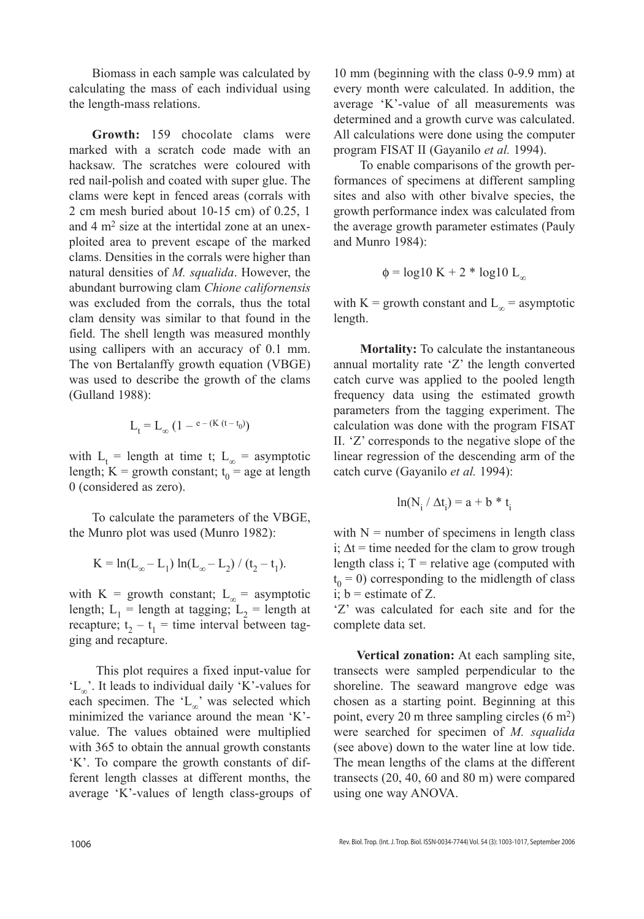Biomass in each sample was calculated by calculating the mass of each individual using the length-mass relations.

**Growth:** 159 chocolate clams were marked with a scratch code made with an hacksaw. The scratches were coloured with red nail-polish and coated with super glue. The clams were kept in fenced areas (corrals with 2 cm mesh buried about 10-15 cm) of 0.25, 1 and  $4 \text{ m}^2$  size at the intertidal zone at an unexploited area to prevent escape of the marked clams. Densities in the corrals were higher than natural densities of *M. squalida*. However, the abundant burrowing clam *Chione californensis* was excluded from the corrals, thus the total clam density was similar to that found in the field. The shell length was measured monthly using callipers with an accuracy of 0.1 mm. The von Bertalanffy growth equation (VBGE) was used to describe the growth of the clams (Gulland 1988):

$$
L_t = L_\infty \left(1 - \mathsf{e}^{-(K \ (t - t_0)}\right)
$$

with  $L_t$  = length at time t;  $L_\infty$  = asymptotic length; K = growth constant;  $t_0$  = age at length 0 (considered as zero).

To calculate the parameters of the VBGE, the Munro plot was used (Munro 1982):

$$
K = \ln(L_{\infty} - L_1) \ln(L_{\infty} - L_2) / (t_2 - t_1).
$$

with K = growth constant;  $L_{\infty}$  = asymptotic length;  $L_1$  = length at tagging;  $L_2$  = length at recapture;  $t_2 - t_1 =$  time interval between tagging and recapture.

 This plot requires a fixed input-value for 'L∞'. It leads to individual daily 'K'-values for each specimen. The 'L∞' was selected which minimized the variance around the mean 'K' value. The values obtained were multiplied with 365 to obtain the annual growth constants 'K'. To compare the growth constants of different length classes at different months, the average 'K'-values of length class-groups of 10 mm (beginning with the class 0-9.9 mm) at every month were calculated. In addition, the average 'K'-value of all measurements was determined and a growth curve was calculated. All calculations were done using the computer program FISAT II (Gayanilo *et al.* 1994).

To enable comparisons of the growth performances of specimens at different sampling sites and also with other bivalve species, the growth performance index was calculated from the average growth parameter estimates (Pauly and Munro 1984):

$$
\phi = \log 10 \text{ K} + 2 * \log 10 \text{ L}_{\infty}
$$

with K = growth constant and  $L_{\infty}$  = asymptotic length.

 **Mortality:** To calculate the instantaneous annual mortality rate 'Z' the length converted catch curve was applied to the pooled length frequency data using the estimated growth parameters from the tagging experiment. The calculation was done with the program FISAT II. 'Z' corresponds to the negative slope of the linear regression of the descending arm of the catch curve (Gayanilo *et al.* 1994):

$$
ln(N_i / \Delta t_i) = a + b * t_i
$$

with  $N =$  number of specimens in length class i;  $\Delta t$  = time needed for the clam to grow trough length class i;  $T =$  relative age (computed with  $t_0 = 0$ ) corresponding to the midlength of class i;  $b =$  estimate of Z.

'Z' was calculated for each site and for the complete data set.

**Vertical zonation:** At each sampling site, transects were sampled perpendicular to the shoreline. The seaward mangrove edge was chosen as a starting point. Beginning at this point, every 20 m three sampling circles (6 m2) were searched for specimen of *M. squalida* (see above) down to the water line at low tide. The mean lengths of the clams at the different transects (20, 40, 60 and 80 m) were compared using one way ANOVA.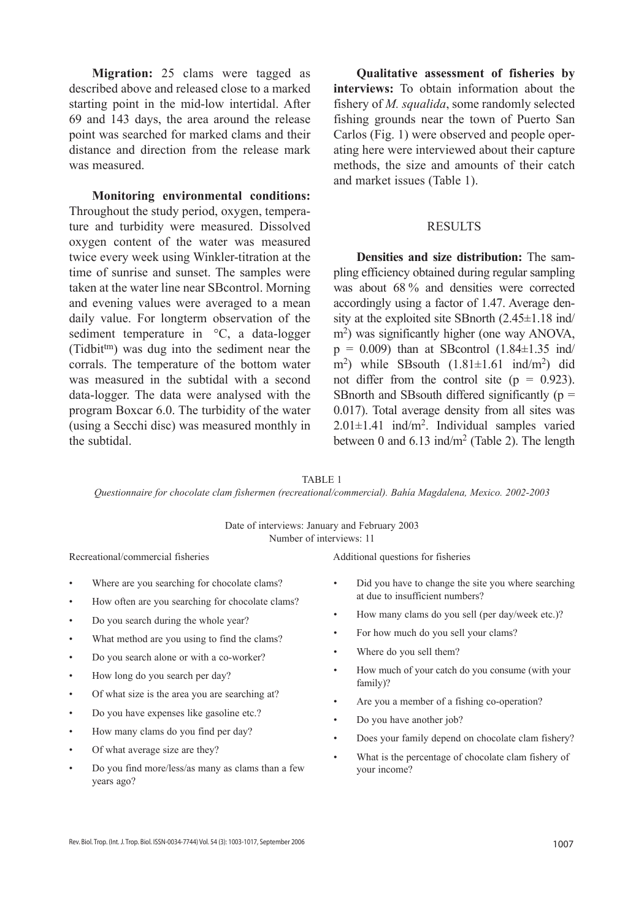**Migration:** 25 clams were tagged as described above and released close to a marked starting point in the mid-low intertidal. After 69 and 143 days, the area around the release point was searched for marked clams and their distance and direction from the release mark was measured.

**Monitoring environmental conditions:**  Throughout the study period, oxygen, temperature and turbidity were measured. Dissolved oxygen content of the water was measured twice every week using Winkler-titration at the time of sunrise and sunset. The samples were taken at the water line near SBcontrol. Morning and evening values were averaged to a mean daily value. For longterm observation of the sediment temperature in  $\degree$ C, a data-logger (Tidbittm) was dug into the sediment near the corrals. The temperature of the bottom water was measured in the subtidal with a second data-logger. The data were analysed with the program Boxcar 6.0. The turbidity of the water (using a Secchi disc) was measured monthly in the subtidal.

**Qualitative assessment of fisheries by interviews:** To obtain information about the fishery of *M. squalida*, some randomly selected fishing grounds near the town of Puerto San Carlos (Fig. 1) were observed and people operating here were interviewed about their capture methods, the size and amounts of their catch and market issues (Table 1).

#### **RESULTS**

**Densities and size distribution:** The sampling efficiency obtained during regular sampling was about 68 % and densities were corrected accordingly using a factor of 1.47. Average density at the exploited site SBnorth (2.45±1.18 ind/ m<sup>2</sup>) was significantly higher (one way ANOVA,  $p = 0.009$ ) than at SBcontrol (1.84 $\pm$ 1.35 ind/ m<sup>2</sup>) while SBsouth  $(1.81 \pm 1.61 \text{ ind/m}^2)$  did not differ from the control site  $(p = 0.923)$ . SBnorth and SBsouth differed significantly  $(p =$ 0.017). Total average density from all sites was  $2.01 \pm 1.41$  ind/m<sup>2</sup>. Individual samples varied between 0 and  $6.13$  ind/m<sup>2</sup> (Table 2). The length

TABLE 1

*Questionnaire for chocolate clam fishermen (recreational/commercial). Bahía Magdalena, Mexico. 2002-2003*

Date of interviews: January and February 2003 Number of interviews: 11

- Where are you searching for chocolate clams?
- How often are you searching for chocolate clams?
- Do you search during the whole year?
- What method are you using to find the clams?
- Do you search alone or with a co-worker?
- How long do you search per day?
- Of what size is the area you are searching at?
- Do you have expenses like gasoline etc.?
- How many clams do you find per day?
- Of what average size are they?
- Do you find more/less/as many as clams than a few years ago?

Recreational/commercial fisheries Additional questions for fisheries

- Did you have to change the site you where searching at due to insufficient numbers?
- How many clams do you sell (per day/week etc.)?
- For how much do you sell your clams?
- Where do you sell them?
- How much of your catch do you consume (with your family)?
- Are you a member of a fishing co-operation?
- Do you have another job?
- Does your family depend on chocolate clam fishery?
- What is the percentage of chocolate clam fishery of your income?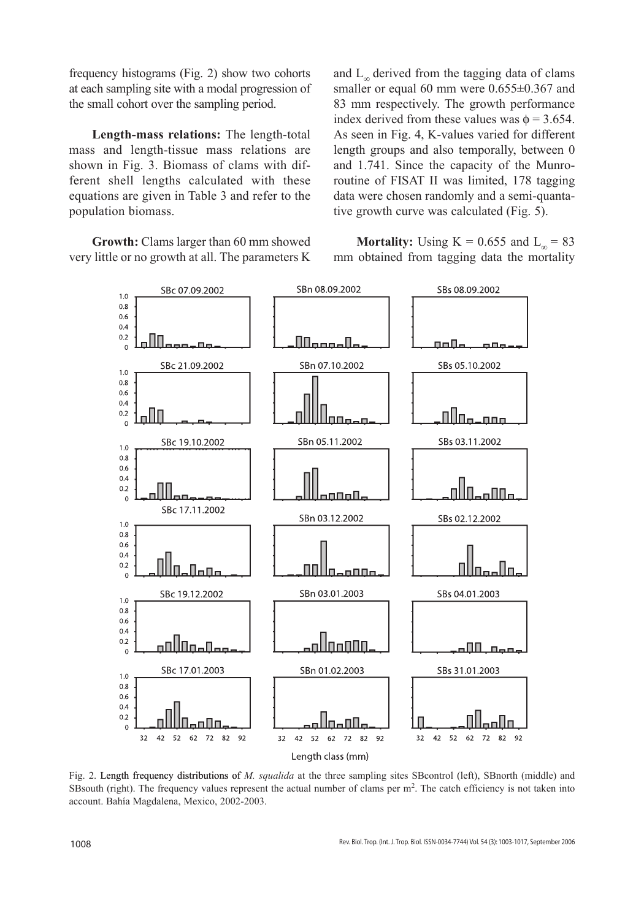frequency histograms (Fig. 2) show two cohorts at each sampling site with a modal progression of the small cohort over the sampling period.

**Length-mass relations:** The length-total mass and length-tissue mass relations are shown in Fig. 3. Biomass of clams with different shell lengths calculated with these equations are given in Table 3 and refer to the population biomass.

**Growth:** Clams larger than 60 mm showed very little or no growth at all. The parameters K and  $L_{\infty}$  derived from the tagging data of clams smaller or equal 60 mm were  $0.655\pm0.367$  and 83 mm respectively. The growth performance index derived from these values was  $\phi = 3.654$ . As seen in Fig. 4, K-values varied for different length groups and also temporally, between 0 and 1.741. Since the capacity of the Munroroutine of FISAT II was limited, 178 tagging data were chosen randomly and a semi-quantative growth curve was calculated (Fig. 5).

**Mortality:** Using K = 0.655 and  $L_{\infty}$  = 83 mm obtained from tagging data the mortality



Fig. 2. Length frequency distributions of M. squalida at the three sampling sites SBcontrol (left), SBnorth (middle) and SBsouth (right). The frequency values represent the actual number of clams per m2. The catch efficiency is not taken into account. Bahía Magdalena, Mexico, 2002-2003.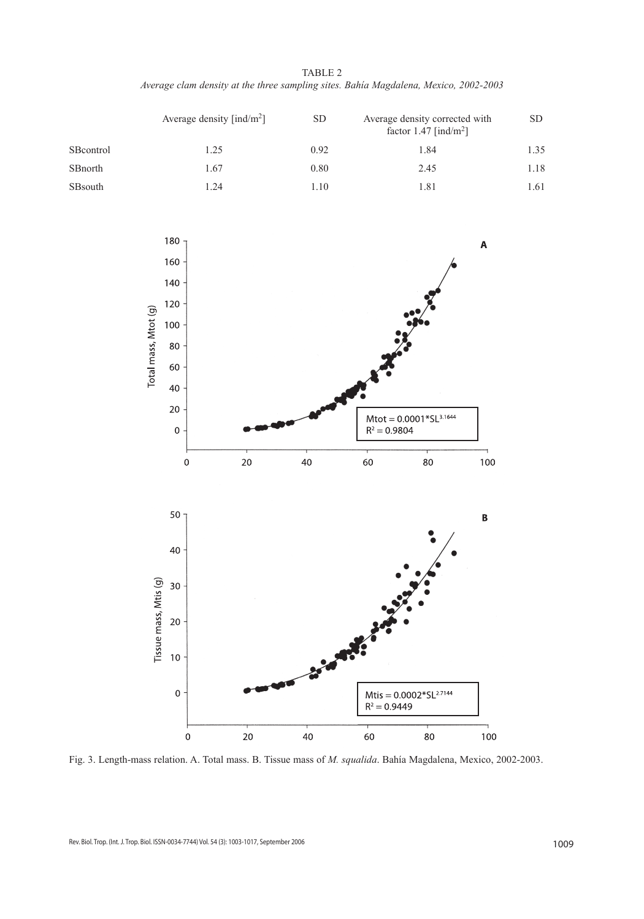TABLE 2 *Average clam density at the three sampling sites. Bahía Magdalena, Mexico, 2002-2003*

|           | Average density $\left[\text{ind/m}^2\right]$ | <b>SD</b> | Average density corrected with<br>factor $1.47$ [ind/m <sup>2</sup> ] | SD.  |
|-----------|-----------------------------------------------|-----------|-----------------------------------------------------------------------|------|
| SBcontrol | 1.25                                          | 0.92      | 1.84                                                                  | 1.35 |
| SBnorth   | 1.67                                          | 0.80      | 2.45                                                                  | 1.18 |
| SBsouth   | 1.24                                          | 1.10      | 1.81                                                                  | 1.61 |



Fig. 3. Length-mass relation. A. Total mass. B. Tissue mass of *M. squalida*. Bahía Magdalena, Mexico, 2002-2003.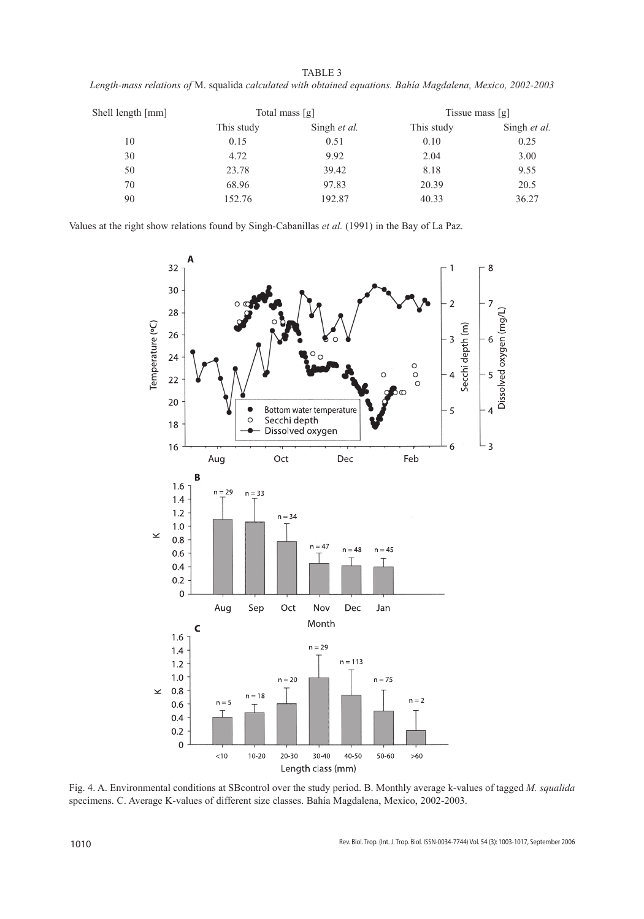| TABLE 3                                                                                                     |  |
|-------------------------------------------------------------------------------------------------------------|--|
| Length-mass relations of M. squalida calculated with obtained equations. Bahía Magdalena, Mexico, 2002-2003 |  |

| Shell length [mm] | Total mass [g] |              | Tissue mass [g] |              |
|-------------------|----------------|--------------|-----------------|--------------|
|                   | This study     | Singh et al. | This study      | Singh et al. |
| 10                | 0.15           | 0.51         | 0.10            | 0.25         |
| 30                | 4.72           | 9.92         | 2.04            | 3.00         |
| 50                | 23.78          | 39.42        | 8.18            | 9.55         |
| 70                | 68.96          | 97.83        | 20.39           | 20.5         |
| 90                | 152.76         | 192.87       | 40.33           | 36.27        |

Values at the right show relations found by Singh-Cabanillas *et al.* (1991) in the Bay of La Paz.



Fig. 4. A. Environmental conditions at SBcontrol over the study period. B. Monthly average k-values of tagged *M. squalida* specimens. C. Average K-values of different size classes. Bahía Magdalena, Mexico, 2002-2003.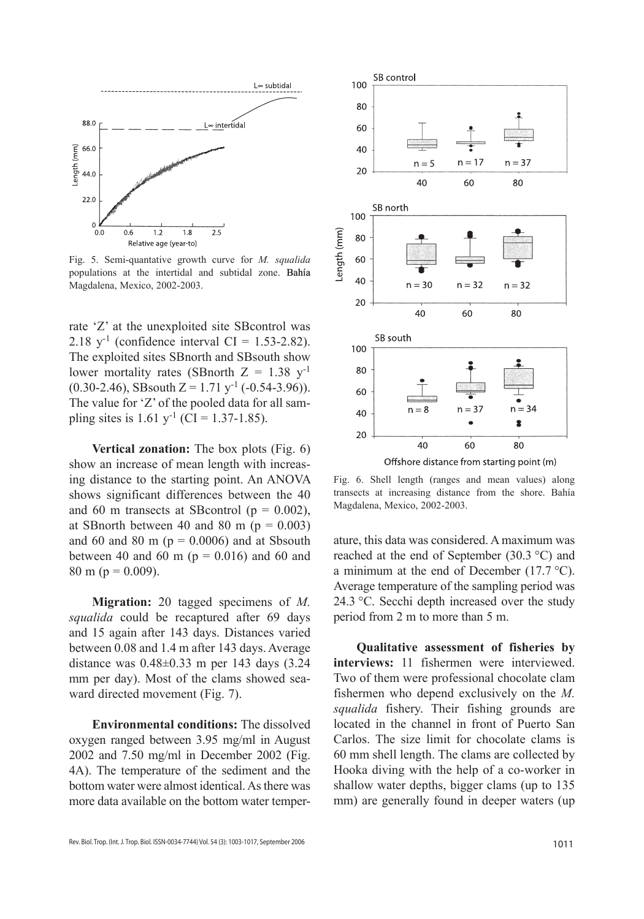

Fig. 5. Semi-quantative growth curve for *M. squalida* populations at the intertidal and subtidal zone. Bahía Magdalena, Mexico, 2002-2003.

rate 'Z' at the unexploited site SBcontrol was 2.18  $y^{-1}$  (confidence interval CI = 1.53-2.82). The exploited sites SBnorth and SBsouth show lower mortality rates (SBnorth  $Z = 1.38$  y<sup>-1</sup>  $(0.30-2.46)$ , SBsouth  $Z = 1.71$  y<sup>-1</sup> (-0.54-3.96)). The value for 'Z' of the pooled data for all sampling sites is  $1.61$  y<sup>-1</sup> (CI = 1.37-1.85).

**Vertical zonation:** The box plots (Fig. 6) show an increase of mean length with increasing distance to the starting point. An ANOVA shows significant differences between the 40 and 60 m transects at SBcontrol ( $p = 0.002$ ), at SBnorth between 40 and 80 m ( $p = 0.003$ ) and 60 and 80 m ( $p = 0.0006$ ) and at Sbsouth between 40 and 60 m ( $p = 0.016$ ) and 60 and 80 m ( $p = 0.009$ ).

**Migration:** 20 tagged specimens of *M. squalida* could be recaptured after 69 days and 15 again after 143 days. Distances varied between 0.08 and 1.4 m after 143 days. Average distance was 0.48±0.33 m per 143 days (3.24 mm per day). Most of the clams showed seaward directed movement (Fig. 7).

**Environmental conditions:** The dissolved oxygen ranged between 3.95 mg/ml in August 2002 and 7.50 mg/ml in December 2002 (Fig. 4A). The temperature of the sediment and the bottom water were almost identical. As there was more data available on the bottom water temper-



Offshore distance from starting point (m)

Fig. 6. Shell length (ranges and mean values) along transects at increasing distance from the shore. Bahía Magdalena, Mexico, 2002-2003.

ature, this data was considered. A maximum was reached at the end of September (30.3 °C) and a minimum at the end of December (17.7 °C). Average temperature of the sampling period was 24.3 °C. Secchi depth increased over the study period from 2 m to more than 5 m.

**Qualitative assessment of fisheries by interviews:** 11 fishermen were interviewed. Two of them were professional chocolate clam fishermen who depend exclusively on the *M. squalida* fishery. Their fishing grounds are located in the channel in front of Puerto San Carlos. The size limit for chocolate clams is 60 mm shell length. The clams are collected by Hooka diving with the help of a co-worker in shallow water depths, bigger clams (up to 135 mm) are generally found in deeper waters (up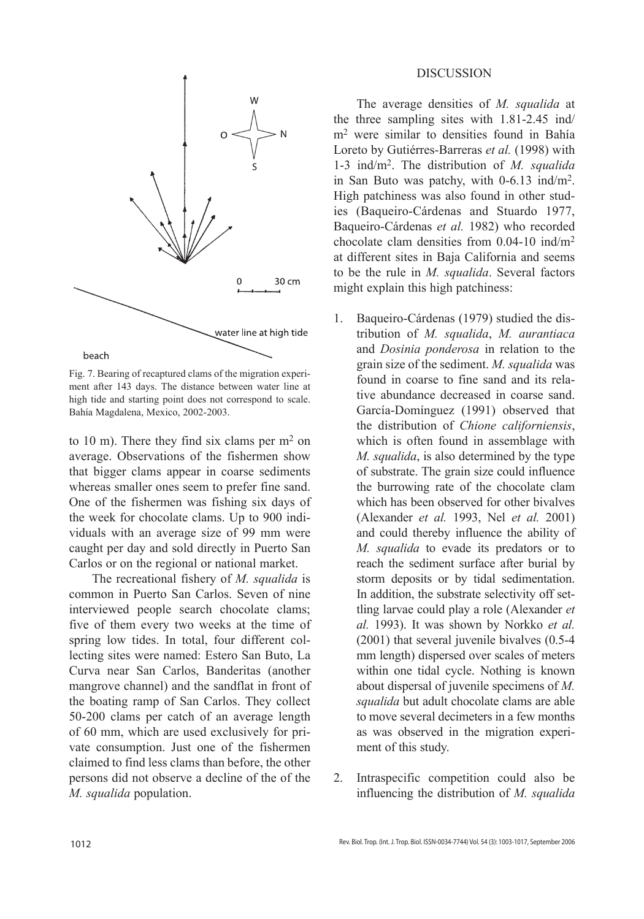

Fig. 7. Bearing of recaptured clams of the migration experiment after 143 days. The distance between water line at high tide and starting point does not correspond to scale. Bahía Magdalena, Mexico, 2002-2003.

to 10 m). There they find six clams per  $m<sup>2</sup>$  on average. Observations of the fishermen show that bigger clams appear in coarse sediments whereas smaller ones seem to prefer fine sand. One of the fishermen was fishing six days of the week for chocolate clams. Up to 900 individuals with an average size of 99 mm were caught per day and sold directly in Puerto San Carlos or on the regional or national market.

The recreational fishery of *M. squalida* is common in Puerto San Carlos. Seven of nine interviewed people search chocolate clams; five of them every two weeks at the time of spring low tides. In total, four different collecting sites were named: Estero San Buto, La Curva near San Carlos, Banderitas (another mangrove channel) and the sandflat in front of the boating ramp of San Carlos. They collect 50-200 clams per catch of an average length of 60 mm, which are used exclusively for private consumption. Just one of the fishermen claimed to find less clams than before, the other persons did not observe a decline of the of the *M. squalida* population.

### DISCUSSION

The average densities of *M. squalida* at the three sampling sites with 1.81-2.45 ind/ m2 were similar to densities found in Bahía Loreto by Gutiérres-Barreras *et al.* (1998) with 1-3 ind/m2. The distribution of *M. squalida* in San Buto was patchy, with 0-6.13 ind/m2. High patchiness was also found in other studies (Baqueiro-Cárdenas and Stuardo 1977, Baqueiro-Cárdenas *et al.* 1982) who recorded chocolate clam densities from 0.04-10 ind/m2 at different sites in Baja California and seems to be the rule in *M. squalida*. Several factors might explain this high patchiness:

- 1. Baqueiro-Cárdenas (1979) studied the distribution of *M. squalida*, *M. aurantiaca* and *Dosinia ponderosa* in relation to the grain size of the sediment. *M. squalida* was found in coarse to fine sand and its relative abundance decreased in coarse sand. García-Domínguez (1991) observed that the distribution of *Chione californiensis*, which is often found in assemblage with *M. squalida*, is also determined by the type of substrate. The grain size could influence the burrowing rate of the chocolate clam which has been observed for other bivalves (Alexander *et al.* 1993, Nel *et al.* 2001) and could thereby influence the ability of *M. squalida* to evade its predators or to reach the sediment surface after burial by storm deposits or by tidal sedimentation. In addition, the substrate selectivity off settling larvae could play a role (Alexander *et al.* 1993). It was shown by Norkko *et al.* (2001) that several juvenile bivalves (0.5-4 mm length) dispersed over scales of meters within one tidal cycle. Nothing is known about dispersal of juvenile specimens of *M. squalida* but adult chocolate clams are able to move several decimeters in a few months as was observed in the migration experiment of this study.
- 2. Intraspecific competition could also be influencing the distribution of *M. squalida*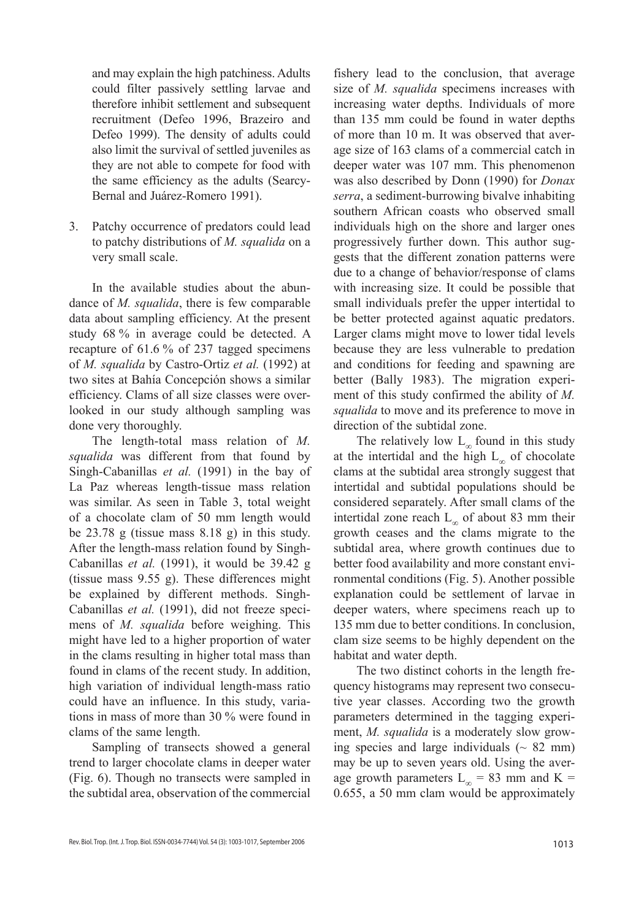and may explain the high patchiness. Adults could filter passively settling larvae and therefore inhibit settlement and subsequent recruitment (Defeo 1996, Brazeiro and Defeo 1999). The density of adults could also limit the survival of settled juveniles as they are not able to compete for food with the same efficiency as the adults (Searcy-Bernal and Juárez-Romero 1991).

3. Patchy occurrence of predators could lead to patchy distributions of *M. squalida* on a very small scale.

In the available studies about the abundance of *M. squalida*, there is few comparable data about sampling efficiency. At the present study 68 % in average could be detected. A recapture of 61.6 % of 237 tagged specimens of *M. squalida* by Castro-Ortiz *et al.* (1992) at two sites at Bahía Concepción shows a similar efficiency. Clams of all size classes were overlooked in our study although sampling was done very thoroughly.

The length-total mass relation of *M. squalida* was different from that found by Singh-Cabanillas *et al.* (1991) in the bay of La Paz whereas length-tissue mass relation was similar. As seen in Table 3, total weight of a chocolate clam of 50 mm length would be 23.78 g (tissue mass 8.18 g) in this study. After the length-mass relation found by Singh-Cabanillas *et al.* (1991), it would be 39.42 g (tissue mass 9.55 g). These differences might be explained by different methods. Singh-Cabanillas *et al.* (1991), did not freeze specimens of *M. squalida* before weighing. This might have led to a higher proportion of water in the clams resulting in higher total mass than found in clams of the recent study. In addition, high variation of individual length-mass ratio could have an influence. In this study, variations in mass of more than 30 % were found in clams of the same length.

Sampling of transects showed a general trend to larger chocolate clams in deeper water (Fig. 6). Though no transects were sampled in the subtidal area, observation of the commercial

fishery lead to the conclusion, that average size of *M. squalida* specimens increases with increasing water depths. Individuals of more than 135 mm could be found in water depths of more than 10 m. It was observed that average size of 163 clams of a commercial catch in deeper water was 107 mm. This phenomenon was also described by Donn (1990) for *Donax serra*, a sediment-burrowing bivalve inhabiting southern African coasts who observed small individuals high on the shore and larger ones progressively further down. This author suggests that the different zonation patterns were due to a change of behavior/response of clams with increasing size. It could be possible that small individuals prefer the upper intertidal to be better protected against aquatic predators. Larger clams might move to lower tidal levels because they are less vulnerable to predation and conditions for feeding and spawning are better (Bally 1983). The migration experiment of this study confirmed the ability of *M. squalida* to move and its preference to move in direction of the subtidal zone.

The relatively low  $L_{\infty}$  found in this study at the intertidal and the high  $L_{\infty}$  of chocolate clams at the subtidal area strongly suggest that intertidal and subtidal populations should be considered separately. After small clams of the intertidal zone reach  $L_{\infty}$  of about 83 mm their growth ceases and the clams migrate to the subtidal area, where growth continues due to better food availability and more constant environmental conditions (Fig. 5). Another possible explanation could be settlement of larvae in deeper waters, where specimens reach up to 135 mm due to better conditions. In conclusion, clam size seems to be highly dependent on the habitat and water depth.

The two distinct cohorts in the length frequency histograms may represent two consecutive year classes. According two the growth parameters determined in the tagging experiment, *M. squalida* is a moderately slow growing species and large individuals  $($   $\sim$  82 mm) may be up to seven years old. Using the average growth parameters  $L_{\infty}$  = 83 mm and K = 0.655, a 50 mm clam would be approximately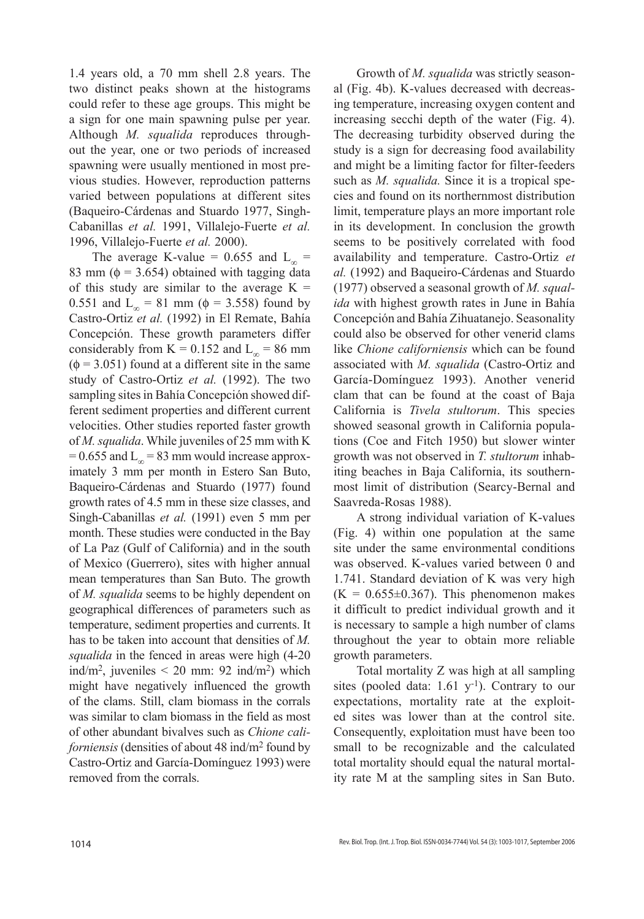1.4 years old, a 70 mm shell 2.8 years. The two distinct peaks shown at the histograms could refer to these age groups. This might be a sign for one main spawning pulse per year. Although *M. squalida* reproduces throughout the year, one or two periods of increased spawning were usually mentioned in most previous studies. However, reproduction patterns varied between populations at different sites (Baqueiro-Cárdenas and Stuardo 1977, Singh-Cabanillas *et al.* 1991, Villalejo-Fuerte *et al.* 1996, Villalejo-Fuerte *et al.* 2000).

The average K-value = 0.655 and  $L_{\infty}$  = 83 mm ( $\phi$  = 3.654) obtained with tagging data of this study are similar to the average  $K =$ 0.551 and L<sub>∞</sub> = 81 mm ( $\phi$  = 3.558) found by Castro-Ortiz *et al.* (1992) in El Remate, Bahía Concepción. These growth parameters differ considerably from K = 0.152 and  $L_{\infty}$  = 86 mm  $(\phi = 3.051)$  found at a different site in the same study of Castro-Ortiz *et al.* (1992). The two sampling sites in Bahía Concepción showed different sediment properties and different current velocities. Other studies reported faster growth of *M. squalida*. While juveniles of 25 mm with K = 0.655 and  $L_{\infty}$  = 83 mm would increase approximately 3 mm per month in Estero San Buto, Baqueiro-Cárdenas and Stuardo (1977) found growth rates of 4.5 mm in these size classes, and Singh-Cabanillas *et al.* (1991) even 5 mm per month. These studies were conducted in the Bay of La Paz (Gulf of California) and in the south of Mexico (Guerrero), sites with higher annual mean temperatures than San Buto. The growth of *M. squalida* seems to be highly dependent on geographical differences of parameters such as temperature, sediment properties and currents. It has to be taken into account that densities of *M. squalida* in the fenced in areas were high (4-20 ind/m<sup>2</sup>, juveniles  $\leq$  20 mm: 92 ind/m<sup>2</sup>) which might have negatively influenced the growth of the clams. Still, clam biomass in the corrals was similar to clam biomass in the field as most of other abundant bivalves such as *Chione californiensis* (densities of about 48 ind/m2 found by Castro-Ortiz and García-Domínguez 1993) were removed from the corrals.

Growth of *M. squalida* was strictly seasonal (Fig. 4b). K-values decreased with decreasing temperature, increasing oxygen content and increasing secchi depth of the water (Fig. 4). The decreasing turbidity observed during the study is a sign for decreasing food availability and might be a limiting factor for filter-feeders such as *M. squalida.* Since it is a tropical species and found on its northernmost distribution limit, temperature plays an more important role in its development. In conclusion the growth seems to be positively correlated with food availability and temperature. Castro-Ortiz *et al.* (1992) and Baqueiro-Cárdenas and Stuardo (1977) observed a seasonal growth of *M. squalida* with highest growth rates in June in Bahía Concepción and Bahía Zihuatanejo. Seasonality could also be observed for other venerid clams like *Chione californiensis* which can be found associated with *M. squalida* (Castro-Ortiz and García-Domínguez 1993). Another venerid clam that can be found at the coast of Baja California is *Tivela stultorum*. This species showed seasonal growth in California populations (Coe and Fitch 1950) but slower winter growth was not observed in *T. stultorum* inhabiting beaches in Baja California, its southernmost limit of distribution (Searcy-Bernal and Saavreda-Rosas 1988).

A strong individual variation of K-values (Fig. 4) within one population at the same site under the same environmental conditions was observed. K-values varied between 0 and 1.741. Standard deviation of K was very high  $(K = 0.655 \pm 0.367)$ . This phenomenon makes it difficult to predict individual growth and it is necessary to sample a high number of clams throughout the year to obtain more reliable growth parameters.

Total mortality Z was high at all sampling sites (pooled data:  $1.61 \text{ y}^{-1}$ ). Contrary to our expectations, mortality rate at the exploited sites was lower than at the control site. Consequently, exploitation must have been too small to be recognizable and the calculated total mortality should equal the natural mortality rate M at the sampling sites in San Buto.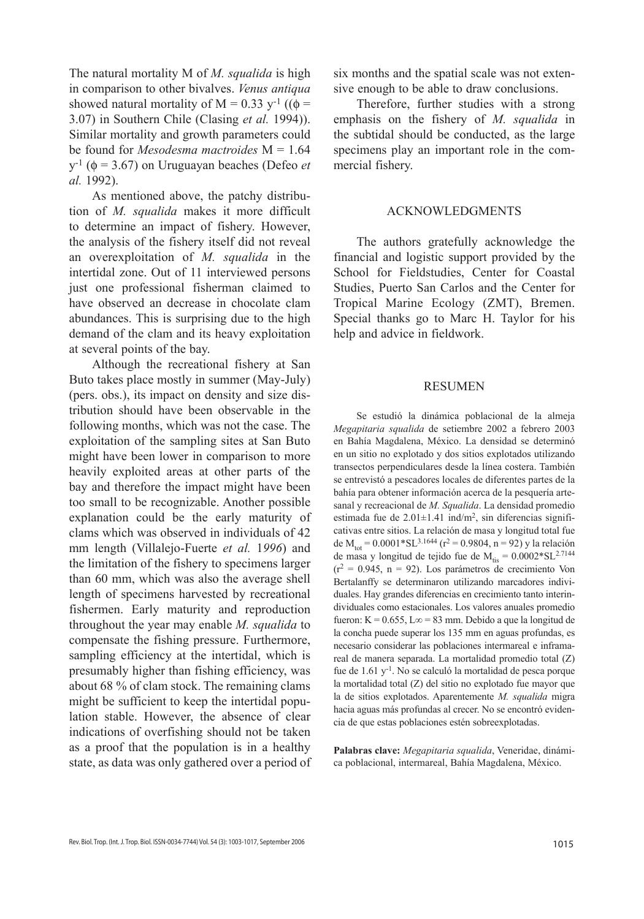The natural mortality M of *M. squalida* is high in comparison to other bivalves. *Venus antiqua* showed natural mortality of M = 0.33 y<sup>-1</sup> (( $\phi$  = 3.07) in Southern Chile (Clasing *et al.* 1994)). Similar mortality and growth parameters could be found for *Mesodesma mactroides* M = 1.64  $y^{-1}$  ( $\phi$  = 3.67) on Uruguayan beaches (Defeo *et al.* 1992).

As mentioned above, the patchy distribution of *M. squalida* makes it more difficult to determine an impact of fishery. However, the analysis of the fishery itself did not reveal an overexploitation of *M. squalida* in the intertidal zone. Out of 11 interviewed persons just one professional fisherman claimed to have observed an decrease in chocolate clam abundances. This is surprising due to the high demand of the clam and its heavy exploitation at several points of the bay.

Although the recreational fishery at San Buto takes place mostly in summer (May-July) (pers. obs.), its impact on density and size distribution should have been observable in the following months, which was not the case. The exploitation of the sampling sites at San Buto might have been lower in comparison to more heavily exploited areas at other parts of the bay and therefore the impact might have been too small to be recognizable. Another possible explanation could be the early maturity of clams which was observed in individuals of 42 mm length (Villalejo-Fuerte *et al.* 1*996*) and the limitation of the fishery to specimens larger than 60 mm, which was also the average shell length of specimens harvested by recreational fishermen. Early maturity and reproduction throughout the year may enable *M. squalida* to compensate the fishing pressure. Furthermore, sampling efficiency at the intertidal, which is presumably higher than fishing efficiency, was about 68 % of clam stock. The remaining clams might be sufficient to keep the intertidal population stable. However, the absence of clear indications of overfishing should not be taken as a proof that the population is in a healthy state, as data was only gathered over a period of six months and the spatial scale was not extensive enough to be able to draw conclusions.

Therefore, further studies with a strong emphasis on the fishery of *M. squalida* in the subtidal should be conducted, as the large specimens play an important role in the commercial fishery.

# ACKNOWLEDGMENTS

The authors gratefully acknowledge the financial and logistic support provided by the School for Fieldstudies, Center for Coastal Studies, Puerto San Carlos and the Center for Tropical Marine Ecology (ZMT), Bremen. Special thanks go to Marc H. Taylor for his help and advice in fieldwork.

#### RESUMEN

Se estudió la dinámica poblacional de la almeja *Megapitaria squalida* de setiembre 2002 a febrero 2003 en Bahía Magdalena, México. La densidad se determinó en un sitio no explotado y dos sitios explotados utilizando transectos perpendiculares desde la línea costera. También se entrevistó a pescadores locales de diferentes partes de la bahía para obtener información acerca de la pesquería artesanal y recreacional de *M. Squalida*. La densidad promedio estimada fue de  $2.01 \pm 1.41$  ind/m<sup>2</sup>, sin diferencias significativas entre sitios. La relación de masa y longitud total fue de M<sub>tot</sub> = 0.0001\*SL<sup>3.1644</sup> ( $r^2$  = 0.9804, n = 92) y la relación de masa y longitud de tejido fue de  $M_{\text{tis}} = 0.0002 * SL^{2.7144}$  $(r^2 = 0.945, n = 92)$ . Los parámetros de crecimiento Von Bertalanffy se determinaron utilizando marcadores individuales. Hay grandes diferencias en crecimiento tanto interindividuales como estacionales. Los valores anuales promedio fueron: K =  $0.655$ , L $\infty$  = 83 mm. Debido a que la longitud de la concha puede superar los 135 mm en aguas profundas, es necesario considerar las poblaciones intermareal e inframareal de manera separada. La mortalidad promedio total (Z) fue de  $1.61$  y<sup>-1</sup>. No se calculó la mortalidad de pesca porque la mortalidad total (Z) del sitio no explotado fue mayor que la de sitios explotados. Aparentemente *M. squalida* migra hacia aguas más profundas al crecer. No se encontró evidencia de que estas poblaciones estén sobreexplotadas.

**Palabras clave:** *Megapitaria squalida*, Veneridae, dinámica poblacional, intermareal, Bahía Magdalena, México.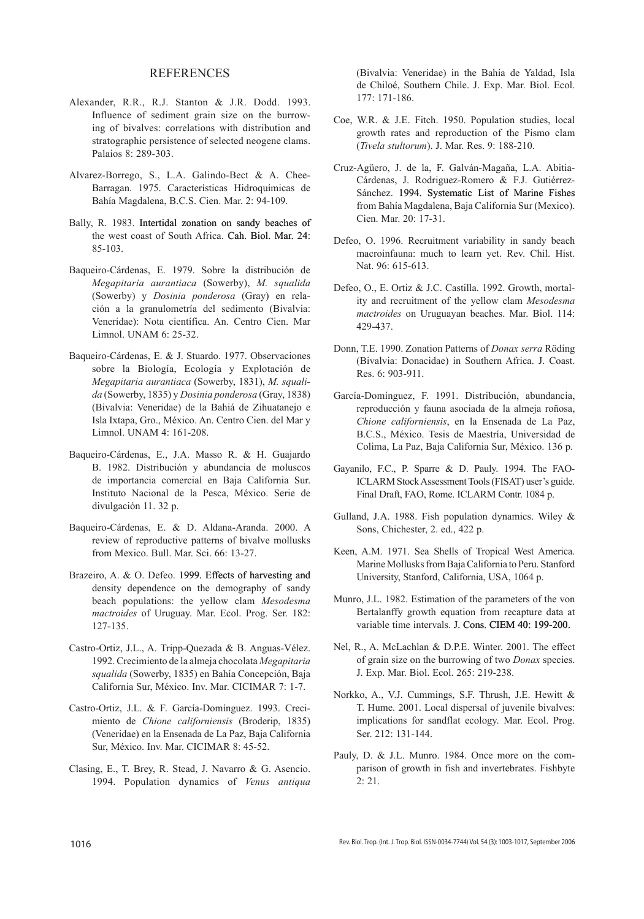### REFERENCES

- Alexander, R.R., R.J. Stanton & J.R. Dodd. 1993. Influence of sediment grain size on the burrowing of bivalves: correlations with distribution and stratographic persistence of selected neogene clams. Palaios 8: 289-303.
- Alvarez-Borrego, S., L.A. Galindo-Bect & A. Chee-Barragan. 1975. Características Hidroquímicas de Bahía Magdalena, B.C.S. Cien. Mar. 2: 94-109.
- Bally, R. 1983. Intertidal zonation on sandy beaches of the west coast of South Africa. Cah. Biol. Mar. 24: 85-103.
- Baqueiro-Cárdenas, E. 1979. Sobre la distribución de *Megapitaria aurantiaca* (Sowerby), *M. squalida* (Sowerby) y *Dosinia ponderosa* (Gray) en relación a la granulometría del sedimento (Bivalvia: Veneridae): Nota científica. An. Centro Cien. Mar Limnol. UNAM 6: 25-32.
- Baqueiro-Cárdenas, E. & J. Stuardo. 1977. Observaciones sobre la Biología, Ecología y Explotación de *Megapitaria aurantiaca* (Sowerby, 1831), *M. squalida* (Sowerby, 1835) y *Dosinia ponderosa* (Gray, 1838) (Bivalvia: Veneridae) de la Bahiá de Zihuatanejo e Isla Ixtapa, Gro., México. An. Centro Cien. del Mar y Limnol. UNAM 4: 161-208.
- Baqueiro-Cárdenas, E., J.A. Masso R. & H. Guajardo B. 1982. Distribución y abundancia de moluscos de importancia comercial en Baja California Sur. Instituto Nacional de la Pesca, México. Serie de divulgación 11. 32 p.
- Baqueiro-Cárdenas, E. & D. Aldana-Aranda. 2000. A review of reproductive patterns of bivalve mollusks from Mexico. Bull. Mar. Sci. 66: 13-27.
- Brazeiro, A. & O. Defeo. 1999. Effects of harvesting and density dependence on the demography of sandy beach populations: the yellow clam *Mesodesma mactroides* of Uruguay. Mar. Ecol. Prog. Ser. 182: 127-135.
- Castro-Ortiz, J.L., A. Tripp-Quezada & B. Anguas-Vélez. 1992. Crecimiento de la almeja chocolata *Megapitaria squalida* (Sowerby, 1835) en Bahía Concepción, Baja California Sur, México. Inv. Mar. CICIMAR 7: 1-7.
- Castro-Ortiz, J.L. & F. García-Domínguez. 1993. Crecimiento de *Chione californiensis* (Broderip, 1835) (Veneridae) en la Ensenada de La Paz, Baja California Sur, México. Inv. Mar. CICIMAR 8: 45-52.
- Clasing, E., T. Brey, R. Stead, J. Navarro & G. Asencio. 1994. Population dynamics of *Venus antiqua*

(Bivalvia: Veneridae) in the Bahía de Yaldad, Isla de Chiloé, Southern Chile. J. Exp. Mar. Biol. Ecol. 177: 171-186.

- Coe, W.R. & J.E. Fitch. 1950. Population studies, local growth rates and reproduction of the Pismo clam (*Tivela stultorum*). J. Mar. Res. 9: 188-210.
- Cruz-Agüero, J. de la, F. Galván-Magaña, L.A. Abitia-Cárdenas, J. Rodriguez-Romero & F.J. Gutiérrez-Sánchez. 1994. Systematic List of Marine Fishes from Bahía Magdalena, Baja California Sur (Mexico). Cien. Mar. 20: 17-31.
- Defeo, O. 1996. Recruitment variability in sandy beach macroinfauna: much to learn yet. Rev. Chil. Hist. Nat. 96: 615-613.
- Defeo, O., E. Ortiz & J.C. Castilla. 1992. Growth, mortality and recruitment of the yellow clam *Mesodesma mactroides* on Uruguayan beaches. Mar. Biol. 114: 429-437.
- Donn, T.E. 1990. Zonation Patterns of *Donax serra* Röding (Bivalvia: Donacidae) in Southern Africa. J. Coast. Res. 6: 903-911.
- García-Domínguez, F. 1991. Distribución, abundancia, reproducción y fauna asociada de la almeja roñosa, *Chione californiensis*, en la Ensenada de La Paz, B.C.S., México. Tesis de Maestría, Universidad de Colima, La Paz, Baja California Sur, México. 136 p.
- Gayanilo, F.C., P. Sparre & D. Pauly. 1994. The FAO-ICLARM Stock Assessment Tools (FISAT) user's guide. Final Draft, FAO, Rome. ICLARM Contr. 1084 p.
- Gulland, J.A. 1988. Fish population dynamics. Wiley & Sons, Chichester, 2. ed., 422 p.
- Keen, A.M. 1971. Sea Shells of Tropical West America. Marine Mollusks from Baja California to Peru. Stanford University, Stanford, California, USA, 1064 p.
- Munro, J.L. 1982. Estimation of the parameters of the von Bertalanffy growth equation from recapture data at variable time intervals. J. Cons. CIEM 40: 199-200.
- Nel, R., A. McLachlan & D.P.E. Winter. 2001. The effect of grain size on the burrowing of two *Donax* species. J. Exp. Mar. Biol. Ecol. 265: 219-238.
- Norkko, A., V.J. Cummings, S.F. Thrush, J.E. Hewitt & T. Hume. 2001. Local dispersal of juvenile bivalves: implications for sandflat ecology. Mar. Ecol. Prog. Ser. 212: 131-144.
- Pauly, D. & J.L. Munro. 1984. Once more on the comparison of growth in fish and invertebrates. Fishbyte 2: 21.